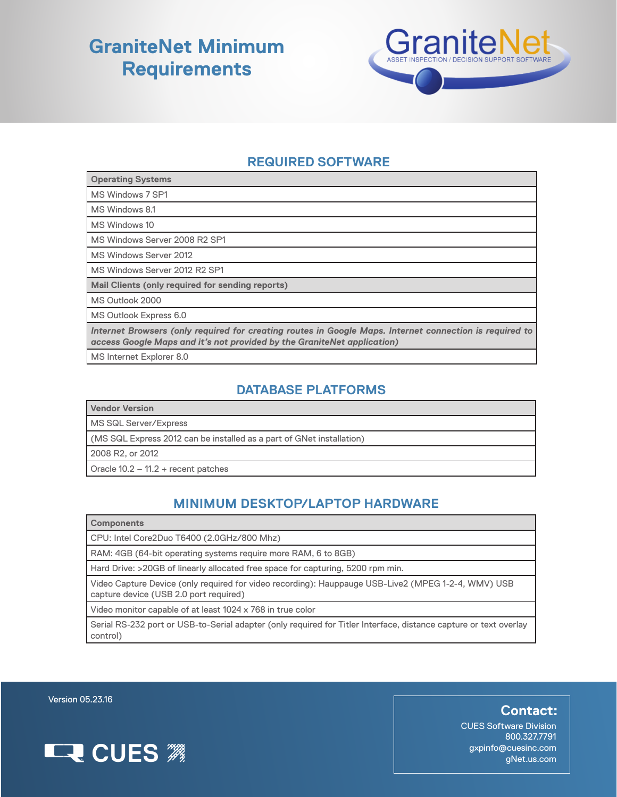## **GraniteNet Minimum Requirements**



### **REQUIRED SOFTWARE**

| <b>Operating Systems</b>                                                                                                                                                           |
|------------------------------------------------------------------------------------------------------------------------------------------------------------------------------------|
| MS Windows 7 SP1                                                                                                                                                                   |
| MS Windows 8.1                                                                                                                                                                     |
| MS Windows 10                                                                                                                                                                      |
| MS Windows Server 2008 R2 SP1                                                                                                                                                      |
| MS Windows Server 2012                                                                                                                                                             |
| MS Windows Server 2012 R2 SP1                                                                                                                                                      |
| Mail Clients (only required for sending reports)                                                                                                                                   |
| MS Outlook 2000                                                                                                                                                                    |
| MS Outlook Express 6.0                                                                                                                                                             |
| Internet Browsers (only required for creating routes in Google Maps. Internet connection is required to<br>access Google Maps and it's not provided by the GraniteNet application) |
| MS Internet Explorer 8.0                                                                                                                                                           |

#### **DATABASE PLATFORMS**

|  |  | Vendor Version |
|--|--|----------------|
|  |  |                |

MS SQL Server/Express

(MS SQL Express 2012 can be installed as a part of GNet installation)

2008 R2, or 2012

Oracle 10.2 – 11.2 + recent patches

### **MINIMUM DESKTOP/LAPTOP HARDWARE**

CPU: Intel Core2Duo T6400 (2.0GHz/800 Mhz)

RAM: 4GB (64-bit operating systems require more RAM, 6 to 8GB)

Hard Drive: >20GB of linearly allocated free space for capturing, 5200 rpm min.

Video Capture Device (only required for video recording): Hauppauge USB-Live2 (MPEG 1-2-4, WMV) USB capture device (USB 2.0 port required)

Video monitor capable of at least 1024 x 768 in true color

Serial RS-232 port or USB-to-Serial adapter (only required for Titler Interface, distance capture or text overlay control)

Version 05.23.16



**Contact:**

CUES Software Division 800.327.7791 gxpinfo@cuesinc.com gNet.us.com